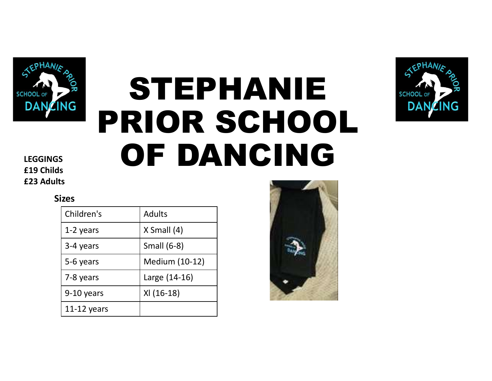

# STEPHANIE PRIOR SCHOOL LEGGINGS OF DANCING **STEF HANTE**<br> **PRIOR SCHOOI**<br> **OF DANCING**<br> **SACHOOI**<br> **SACHOOI**<br> **SACHOOI**<br> **SACHOOI**<br> **SACHOOI**<br> **SACHOOI**<br> **SACHOOI**<br> **SACHOOI**<br> **SACHOOI**<br> **SACHOOI**<br> **SACHOOI**<br> **SACHOOI**<br> **SACHOOI**<br> **SACHOOI**<br> **SACHOOI**<br> **SACHOOI**<br>



£19 Childs £23 Adults

#### Sizes

|               | OF DANCING         |  |
|---------------|--------------------|--|
| <b>S</b>      |                    |  |
| izes          |                    |  |
| Children's    | <b>Adults</b>      |  |
| 1-2 years     | $X$ Small $(4)$    |  |
| 3-4 years     | <b>Small (6-8)</b> |  |
| 5-6 years     | Medium (10-12)     |  |
| 7-8 years     | Large (14-16)      |  |
| 9-10 years    | XI (16-18)         |  |
| $11-12$ years |                    |  |

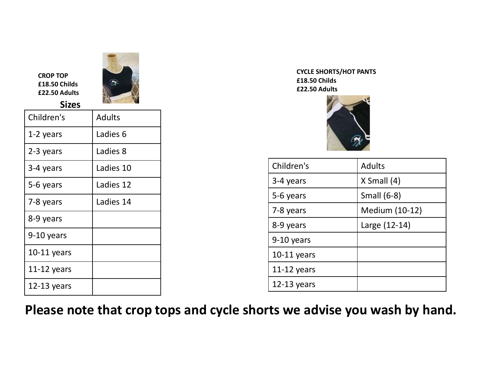

| <b>CROP TOP</b><br>£18.50 Childs<br>£22.50 Adults<br><b>Sizes</b> |               |
|-------------------------------------------------------------------|---------------|
| Children's                                                        | <b>Adults</b> |
| 1-2 years                                                         | Ladies 6      |
| 2-3 years                                                         | Ladies 8      |
| 3-4 years                                                         | Ladies 10     |
| 5-6 years                                                         | Ladies 12     |
| 7-8 years                                                         | Ladies 14     |
| 8-9 years                                                         |               |
| 9-10 years                                                        |               |
| $10-11$ years                                                     |               |
| 11-12 years                                                       |               |
| $12-13$ years                                                     |               |



| £18.50 Childs<br>£22.50 Adults | <b>CYCLE SHORTS/HOT PANTS</b> |  |
|--------------------------------|-------------------------------|--|
| Children's                     | <b>Adults</b>                 |  |
| 3-4 years                      | $X$ Small $(4)$               |  |
| 5-6 years                      | <b>Small (6-8)</b>            |  |
| 7-8 years                      | Medium (10-12)                |  |
| 8-9 years                      | Large (12-14)                 |  |
| 9-10 years                     |                               |  |
| $10-11$ years                  |                               |  |
| 11-12 years                    |                               |  |
| $12-13$ years                  |                               |  |

Please note that crop tops and cycle shorts we advise you wash by hand.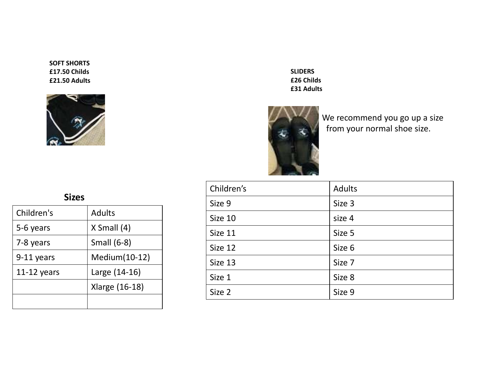SOFT SHORTS £17.50 Childs £21.50 Adults





| Í              |            | <b>SLIDERS</b><br>£26 Childs<br>£31 Adults<br>We recommend you go up a size<br>from your normal shoe size. |  |  |
|----------------|------------|------------------------------------------------------------------------------------------------------------|--|--|
|                | Children's | <b>Adults</b>                                                                                              |  |  |
|                | Size 9     | Size 3                                                                                                     |  |  |
| <b>Adults</b>  | Size 10    | size 4                                                                                                     |  |  |
| X Small (4)    | Size 11    | Size 5                                                                                                     |  |  |
| Small (6-8)    | Size 12    | Size 6                                                                                                     |  |  |
| Medium(10-12)  | Size 13    | Size 7                                                                                                     |  |  |
| Large (14-16)  | Size 1     | Size 8                                                                                                     |  |  |
| Xlarge (16-18) | Size 2     | Size 9                                                                                                     |  |  |
|                |            |                                                                                                            |  |  |

### Sizes

|              |                    | £          |
|--------------|--------------------|------------|
|              |                    | Children's |
| <b>Sizes</b> |                    | Size 9     |
| Children's   | <b>Adults</b>      | Size 10    |
| 5-6 years    | X Small (4)        | Size 11    |
| 7-8 years    | <b>Small (6-8)</b> | Size 12    |
| 9-11 years   | Medium(10-12)      | Size 13    |
| 11-12 years  | Large (14-16)      |            |
|              | Xlarge (16-18)     | Size 1     |
|              |                    | Size 2     |
|              |                    |            |